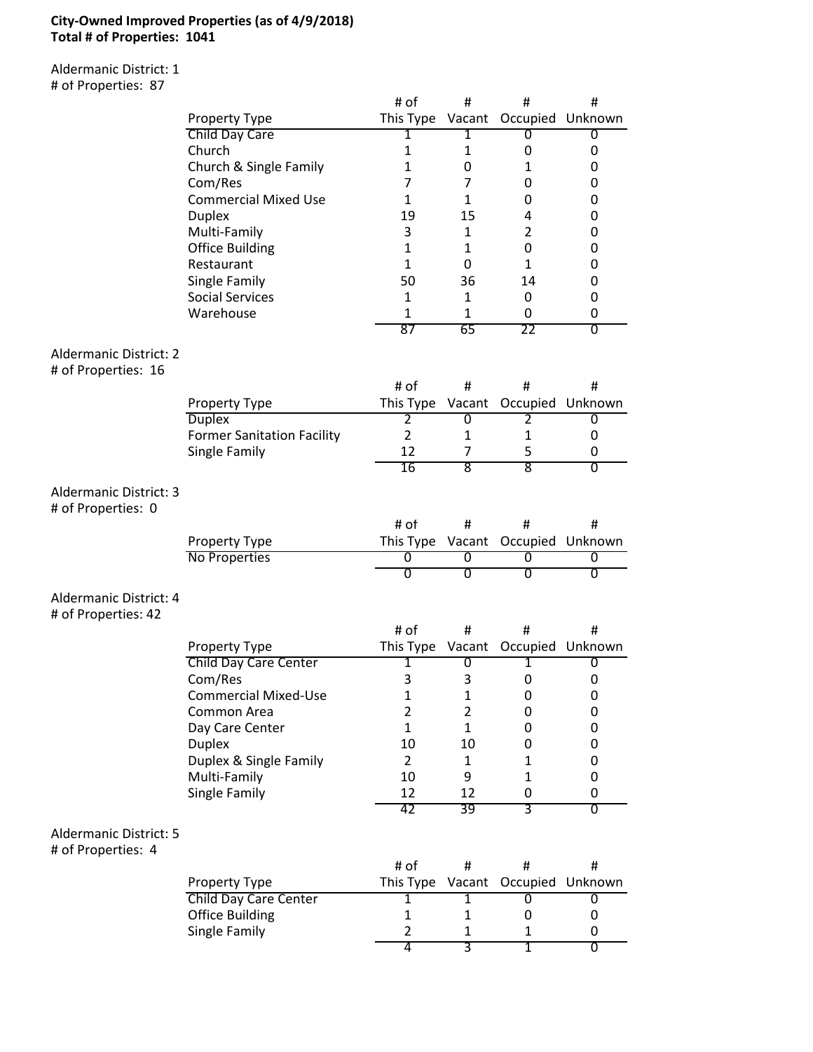### **City-Owned Improved Properties (as of 4/9/2018) Total # of Properties: 1041**

Aldermanic District: 1 # of Properties: 87

|                                                      |                                   | # of            | #              | #                                 | #                         |
|------------------------------------------------------|-----------------------------------|-----------------|----------------|-----------------------------------|---------------------------|
|                                                      | Property Type                     |                 |                | This Type Vacant Occupied Unknown |                           |
|                                                      | Child Day Care                    | 1               | 1              | 0                                 | 0                         |
|                                                      | Church                            | 1               | 1              | 0                                 | 0                         |
|                                                      | Church & Single Family            | $\mathbf{1}$    | 0              | $\mathbf{1}$                      | 0                         |
|                                                      | Com/Res                           | 7               | 7              | 0                                 | 0                         |
|                                                      | <b>Commercial Mixed Use</b>       | $\mathbf{1}$    | $\mathbf{1}$   | 0                                 | 0                         |
|                                                      | <b>Duplex</b>                     | 19              | 15             | 4                                 | 0                         |
|                                                      | Multi-Family                      | 3               | 1              | $\overline{2}$                    | 0                         |
|                                                      | <b>Office Building</b>            | $\mathbf{1}$    | $\mathbf{1}$   | 0                                 | 0                         |
|                                                      | Restaurant                        | $\mathbf{1}$    | 0              | $\mathbf{1}$                      | 0                         |
|                                                      | Single Family                     | 50              | 36             | 14                                | 0                         |
|                                                      | <b>Social Services</b>            | 1               | $\mathbf{1}$   | 0                                 | 0                         |
|                                                      | Warehouse                         | 1               | 1              | 0                                 | 0                         |
|                                                      |                                   | $\overline{87}$ | 65             | 22                                | $\overline{\mathfrak{o}}$ |
| <b>Aldermanic District: 2</b><br># of Properties: 16 |                                   |                 |                |                                   |                           |
|                                                      |                                   | # of            | #              | #                                 | #                         |
|                                                      | Property Type                     | This Type       |                | Vacant Occupied Unknown           |                           |
|                                                      | <b>Duplex</b>                     | 2               | 0              | 2                                 | 0                         |
|                                                      | <b>Former Sanitation Facility</b> | $\overline{2}$  | $\mathbf{1}$   | $\mathbf{1}$                      | 0                         |
|                                                      | Single Family                     | 12              | 7              | 5                                 | 0                         |
|                                                      |                                   | 16              | 8              | $\overline{8}$                    | $\overline{0}$            |
| Aldermanic District: 3<br># of Properties: 0         |                                   |                 |                |                                   |                           |
|                                                      |                                   | # of            | #              | #                                 | #                         |
|                                                      | Property Type                     | This Type       |                | Vacant Occupied Unknown           |                           |
|                                                      | No Properties                     | 0               | 0              | 0                                 | 0                         |
|                                                      |                                   | $\overline{0}$  | 0              | $\overline{0}$                    | 0                         |
| Aldermanic District: 4<br># of Properties: 42        |                                   |                 |                |                                   |                           |
|                                                      |                                   | # of            | #              | $\#$                              | #                         |
|                                                      | Property Type                     |                 |                | This Type Vacant Occupied Unknown |                           |
|                                                      | <b>Child Day Care Center</b>      | 1               | 0              | 1                                 | 0                         |
|                                                      | Com/Res                           | 3               | 3              | 0                                 | 0                         |
|                                                      | <b>Commercial Mixed-Use</b>       | 1               | $\mathbf 1$    | 0                                 | 0                         |
|                                                      | Common Area                       | $\overline{2}$  | $\overline{2}$ | 0                                 | 0                         |
|                                                      | Day Care Center                   | $\mathbf{1}$    | $\mathbf{1}$   | 0                                 | 0                         |
|                                                      | <b>Duplex</b>                     | 10              | 10             | 0                                 | 0                         |
|                                                      | Duplex & Single Family            | $\overline{2}$  | $\mathbf{1}$   | $\mathbf{1}$                      | 0                         |
|                                                      | Multi-Family                      | 10              | 9              | $\mathbf{1}$                      | 0                         |
|                                                      | Single Family                     | 12              | 12             | 0                                 | 0                         |
|                                                      |                                   | 42              | 39             | 3                                 | 0                         |
| <b>Aldermanic District: 5</b><br># of Properties: 4  |                                   |                 |                |                                   |                           |
|                                                      |                                   | # of            | #              | #                                 | #                         |
|                                                      | Property Type                     | This Type       |                | Vacant Occupied                   | Unknown                   |
|                                                      | <b>Child Day Care Center</b>      | 1               | 1              | Ō                                 | 0                         |
|                                                      | <b>Office Building</b>            | $\mathbf{1}$    | 1              | 0                                 | 0                         |
|                                                      | Single Family                     | $\overline{2}$  | $\mathbf{1}$   | $\mathbf{1}$                      | 0                         |

4 3 1 0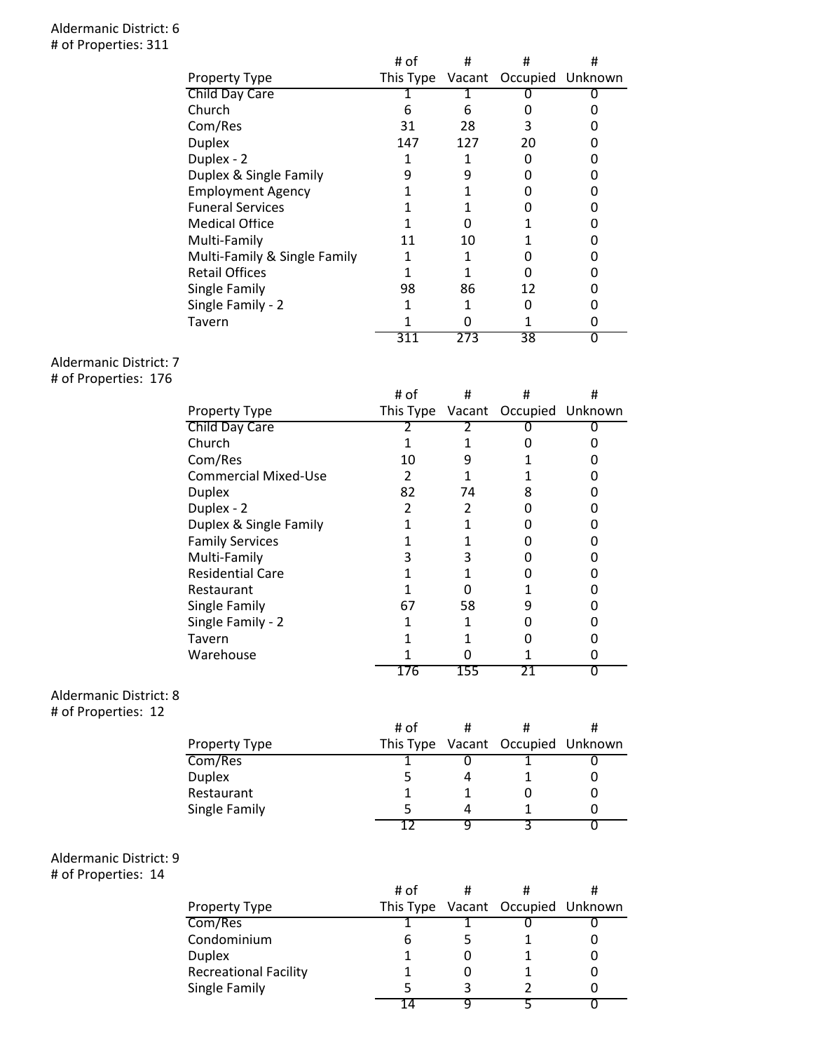#### Aldermanic District: 6 # of Properties: 311

|                              | # of | #   | #                                 | # |
|------------------------------|------|-----|-----------------------------------|---|
| <b>Property Type</b>         |      |     | This Type Vacant Occupied Unknown |   |
| Child Day Care               |      |     |                                   |   |
| Church                       | 6    | 6   |                                   |   |
| Com/Res                      | 31   | 28  | 3                                 |   |
| <b>Duplex</b>                | 147  | 127 | 20                                |   |
| Duplex - 2                   |      |     |                                   |   |
| Duplex & Single Family       | 9    |     |                                   |   |
| <b>Employment Agency</b>     |      |     |                                   |   |
| <b>Funeral Services</b>      |      |     |                                   |   |
| <b>Medical Office</b>        |      |     |                                   |   |
| Multi-Family                 | 11   | 10  |                                   |   |
| Multi-Family & Single Family |      |     |                                   |   |
| <b>Retail Offices</b>        |      |     |                                   |   |
| Single Family                | 98   | 86  | 12                                |   |
| Single Family - 2            |      |     |                                   |   |
| Tavern                       |      |     |                                   |   |
|                              |      | ,,, | 38                                |   |

## Aldermanic District: 7

# of Properties: 176

|                             | # of | #   | #                                 | # |
|-----------------------------|------|-----|-----------------------------------|---|
| <b>Property Type</b>        |      |     | This Type Vacant Occupied Unknown |   |
| Child Day Care              |      |     |                                   |   |
| Church                      |      |     |                                   |   |
| Com/Res                     | 10   | 9   |                                   |   |
| <b>Commercial Mixed-Use</b> | 2    |     |                                   |   |
| <b>Duplex</b>               | 82   | 74  | 8                                 |   |
| Duplex - 2                  | 2    | 2   |                                   |   |
| Duplex & Single Family      |      |     |                                   |   |
| <b>Family Services</b>      |      |     |                                   |   |
| Multi-Family                |      |     |                                   |   |
| <b>Residential Care</b>     |      |     |                                   |   |
| Restaurant                  |      |     |                                   |   |
| Single Family               | 67   | 58  | q                                 |   |
| Single Family - 2           |      |     |                                   |   |
| Tavern                      |      |     |                                   |   |
| Warehouse                   |      |     |                                   |   |
|                             | 176  | 155 | 21                                |   |

## Aldermanic District: 8

# of Properties: 12

|               | # of | # |                                   |  |
|---------------|------|---|-----------------------------------|--|
| Property Type |      |   | This Type Vacant Occupied Unknown |  |
| Com/Res       |      |   |                                   |  |
| Duplex        |      |   |                                   |  |
| Restaurant    |      |   |                                   |  |
| Single Family |      |   |                                   |  |
|               |      |   |                                   |  |

# Aldermanic District: 9

# of Properties: 14

|                              | # of |                                   |  |
|------------------------------|------|-----------------------------------|--|
| Property Type                |      | This Type Vacant Occupied Unknown |  |
| Com/Res                      |      |                                   |  |
| Condominium                  | h    |                                   |  |
| Duplex                       |      |                                   |  |
| <b>Recreational Facility</b> |      |                                   |  |
| Single Family                |      |                                   |  |
|                              |      |                                   |  |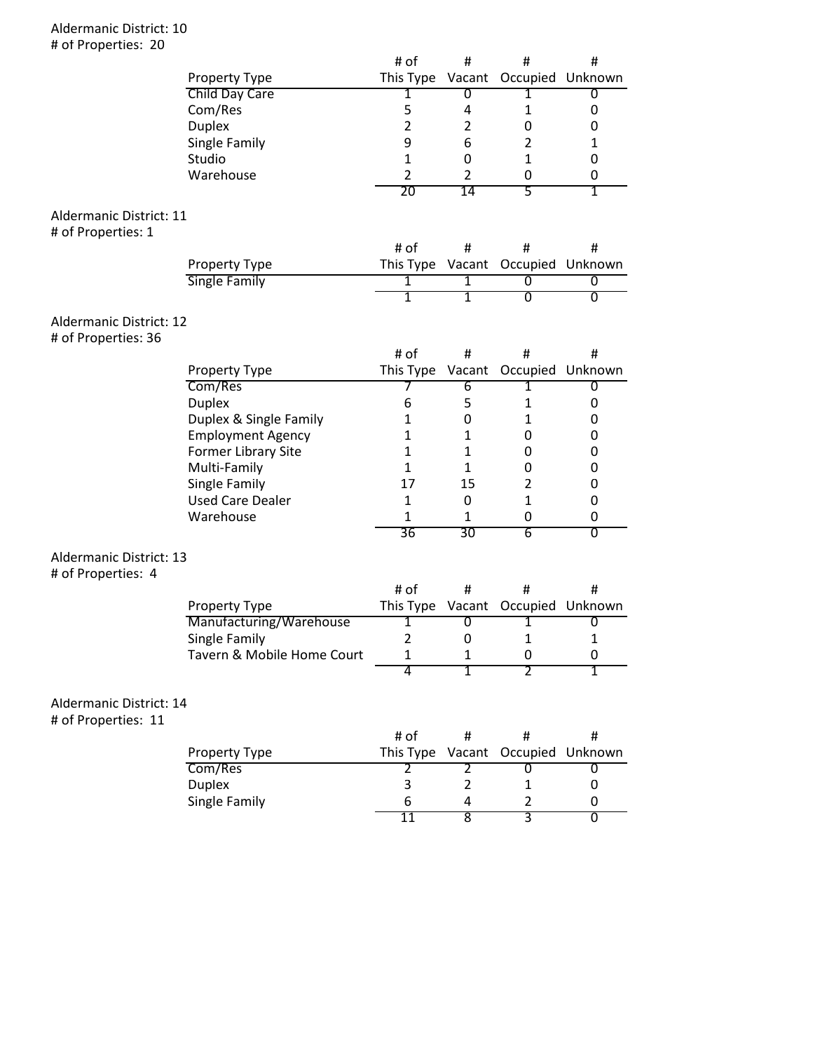### Aldermanic District: 10 # of Properties: 20

|                                |                            | # of             | #              | #                                 | #                         |
|--------------------------------|----------------------------|------------------|----------------|-----------------------------------|---------------------------|
|                                | Property Type              | This Type        |                | Vacant Occupied Unknown           |                           |
|                                | Child Day Care             | 1                | 0              | 1                                 | 0                         |
|                                | Com/Res                    | 5                | 4              | 1                                 | 0                         |
|                                | <b>Duplex</b>              | $\overline{2}$   | $\overline{2}$ | 0                                 | 0                         |
|                                | Single Family              | 9                | 6              | $\overline{2}$                    | $\mathbf{1}$              |
|                                | Studio                     | $\mathbf{1}$     | 0              | $\mathbf{1}$                      | 0                         |
|                                | Warehouse                  | $\overline{2}$   | $\overline{2}$ | 0                                 | 0                         |
|                                |                            | 20               | 14             | 5                                 | 1                         |
|                                |                            |                  |                |                                   |                           |
| Aldermanic District: 11        |                            |                  |                |                                   |                           |
| # of Properties: 1             |                            |                  |                |                                   |                           |
|                                |                            | # of             | #              | #                                 | #                         |
|                                | Property Type              |                  |                | This Type Vacant Occupied Unknown |                           |
|                                | <b>Single Family</b>       | 1                | 1              | 0                                 | 0                         |
|                                |                            | T                | 1              | σ                                 | $\overline{\mathfrak{o}}$ |
|                                |                            |                  |                |                                   |                           |
| <b>Aldermanic District: 12</b> |                            |                  |                |                                   |                           |
| # of Properties: 36            |                            |                  |                |                                   |                           |
|                                |                            | # of             | #              | #                                 | #                         |
|                                | Property Type              | This Type Vacant |                | Occupied                          | Unknown                   |
|                                | Com/Res                    | 7                | 6              | 1                                 | 0                         |
|                                | <b>Duplex</b>              | 6                | 5              | 1                                 | 0                         |
|                                | Duplex & Single Family     | 1                | $\mathbf 0$    | $\mathbf{1}$                      | 0                         |
|                                | <b>Employment Agency</b>   | 1                | $\mathbf{1}$   | 0                                 | 0                         |
|                                | Former Library Site        | 1                | $\mathbf{1}$   | 0                                 | 0                         |
|                                | Multi-Family               | 1                | $\mathbf{1}$   | 0                                 | 0                         |
|                                | Single Family              | 17               | 15             | $\overline{2}$                    | 0                         |
|                                | <b>Used Care Dealer</b>    | $\mathbf{1}$     | $\mathbf 0$    | $\mathbf{1}$                      | 0                         |
|                                | Warehouse                  | 1                | 1              | 0                                 | 0                         |
|                                |                            | 36               | 30             | $\overline{6}$                    | $\overline{\mathfrak{o}}$ |
|                                |                            |                  |                |                                   |                           |
| Aldermanic District: 13        |                            |                  |                |                                   |                           |
| # of Properties: 4             |                            |                  |                |                                   |                           |
|                                |                            | # of             | $\#$           | #                                 | #                         |
|                                | Property Type              | This Type Vacant |                |                                   | Occupied Unknown          |
|                                | Manufacturing/Warehouse    | 1                | $\overline{0}$ | 1                                 | $\overline{0}$            |
|                                | Single Family              | $\overline{2}$   | $\mathbf 0$    | $\mathbf{1}$                      | 1                         |
|                                | Tavern & Mobile Home Court | 1                | 1              | U                                 | 0                         |
|                                |                            | 4                | $\overline{1}$ | 2                                 | 1                         |
|                                |                            |                  |                |                                   |                           |
| Aldermanic District: 14        |                            |                  |                |                                   |                           |
| # of Properties: 11            |                            |                  |                |                                   |                           |
|                                |                            | # of             | #              | #                                 | #                         |
|                                |                            |                  |                |                                   |                           |
|                                | Property Type              | This Type        | Vacant         | Occupied                          | Unknown                   |
|                                | Com/Res                    | 2                | 2              | 0                                 | 0                         |
|                                | <b>Duplex</b>              | 3                | $\overline{2}$ | $\mathbf{1}$                      | 0                         |
|                                | Single Family              | 6                | 4              | 2                                 | 0                         |
|                                |                            | 11               | 8              | 3                                 | $\overline{0}$            |
|                                |                            |                  |                |                                   |                           |